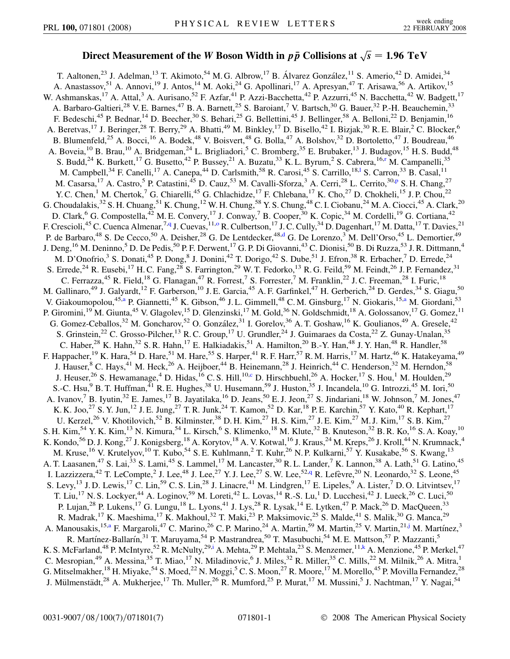## Direct Measurement of the *W* Boson Width in  $p\bar{p}$  Collisions at  $\sqrt{s} = 1.96 \text{ TeV}$

<span id="page-0-8"></span><span id="page-0-7"></span><span id="page-0-6"></span><span id="page-0-5"></span><span id="page-0-4"></span><span id="page-0-3"></span><span id="page-0-2"></span><span id="page-0-1"></span><span id="page-0-0"></span>T. Aaltonen,<sup>23</sup> J. Adelman,<sup>13</sup> T. Akimoto,<sup>54</sup> M. G. Albrow,<sup>17</sup> B. Álvarez González,<sup>11</sup> S. Amerio,<sup>42</sup> D. Amidei,<sup>34</sup> A. Anastassov,<sup>51</sup> A. Annovi,<sup>19</sup> J. Antos,<sup>14</sup> M. Aoki,<sup>24</sup> G. Apollinari,<sup>17</sup> A. Apresyan,<sup>47</sup> T. Arisawa,<sup>56</sup> A. Artikov,<sup>15</sup> W. Ashmanskas,<sup>17</sup> A. Attal,<sup>3</sup> A. Aurisano,<sup>52</sup> F. Azfar,<sup>41</sup> P. Azzi-Bacchetta,<sup>42</sup> P. Azzurri,<sup>45</sup> N. Bacchetta,<sup>42</sup> W. Badgett,<sup>17</sup> A. Barbaro-Galtieri,<sup>28</sup> V. E. Barnes,<sup>47</sup> B. A. Barnett,<sup>25</sup> S. Baroiant,<sup>7</sup> V. Bartsch,<sup>30</sup> G. Bauer,<sup>32</sup> P.-H. Beauchemin,<sup>33</sup> F. Bedeschi,<sup>45</sup> P. Bednar,<sup>14</sup> D. Beecher,<sup>30</sup> S. Behari,<sup>25</sup> G. Bellettini,<sup>45</sup> J. Bellinger,<sup>58</sup> A. Belloni,<sup>22</sup> D. Benjamin,<sup>16</sup> A. Beretvas,<sup>17</sup> J. Beringer,<sup>28</sup> T. Berry,<sup>29</sup> A. Bhatti,<sup>49</sup> M. Binkley,<sup>17</sup> D. Bisello,<sup>42</sup> I. Bizjak,<sup>30</sup> R. E. Blair,<sup>2</sup> C. Blocker,<sup>6</sup> B. Blumenfeld,<sup>25</sup> A. Bocci,<sup>16</sup> A. Bodek,<sup>48</sup> V. Boisvert,<sup>48</sup> G. Bolla,<sup>47</sup> A. Bolshov,<sup>32</sup> D. Bortoletto,<sup>47</sup> J. Boudreau,<sup>46</sup> A. Boveia,<sup>10</sup> B. Brau,<sup>10</sup> A. Bridgeman,<sup>24</sup> L. Brigliadori,<sup>5</sup> C. Bromberg,<sup>35</sup> E. Brubaker,<sup>13</sup> J. Budagov,<sup>15</sup> H. S. Budd,<sup>48</sup> S. Budd,<sup>24</sup> K. Burkett,<sup>17</sup> G. Busetto,<sup>42</sup> P. Bussey,<sup>21</sup> A. Buzatu,<sup>33</sup> K. L. Byrum,<sup>2</sup> S. Cabrera,<sup>16[,r](#page-6-0)</sup> M. Campanelli,<sup>35</sup> M. Campbe[l](#page-6-1)l,<sup>34</sup> F. Canelli,<sup>17</sup> A. Canepa,<sup>44</sup> D. Carlsmith,<sup>58</sup> R. Carosi,<sup>45</sup> S. Carrillo,<sup>18,1</sup> S. Carron,<sup>33</sup> B. Casal,<sup>11</sup> M. Casarsa,<su[p](#page-6-2)>17</sup> A. Castro,<sup>5</sup> P. Catastini,<sup>45</sup> D. Cauz,<sup>53</sup> M. Cavalli-Sforza,<sup>3</sup> A. Cerri,<sup>28</sup> L. Cerrito,<sup>30,p</sup> S. H. Chang,<sup>27</sup> Y. C. Chen,<sup>1</sup> M. Chertok,<sup>7</sup> G. Chiarelli,<sup>45</sup> G. Chlachidze,<sup>17</sup> F. Chlebana,<sup>17</sup> K. Cho,<sup>27</sup> D. Chokheli,<sup>15</sup> J. P. Chou,<sup>22</sup> G. Choudalakis,  $32$  S. H. Chuang,  $51$  K. Chung,  $12$  W. H. Chung,  $58$  Y. S. Chung,  $48$  C. I. Ciobanu,  $24$  M. A. Ciocci,  $45$  A. Clark,  $20$ D. Clark,<sup>6</sup> G. Compostella,<sup>42</sup> M. E. Convery,<sup>17</sup> J. Conway,<sup>7</sup> B. Cooper,<sup>30</sup> K. Copic,<sup>34</sup> M. Cordelli,<sup>19</sup> G. Cortiana,<sup>42</sup> F. Crescioli,<sup>45</sup> C. Cuenca Almenar,<sup>7[,q](#page-6-3)</sup> J. Cuevas,<sup>11[,o](#page-6-4)</sup> R. Culbertson,<sup>17</sup> J. C. Cully,<sup>34</sup> D. Dagenhart,<sup>17</sup> M. Datta,<sup>17</sup> T. Davies,<sup>21</sup> P. [d](#page-6-5)e Barbaro,<sup>48</sup> S. De Cecco,<sup>50</sup> A. Deisher,<sup>28</sup> G. De Lentdecker,<sup>48,d</sup> G. De Lorenzo,<sup>3</sup> M. Dell'Orso,<sup>45</sup> L. Demortier,<sup>49</sup> J. Deng,<sup>16</sup> M. Deninno,<sup>5</sup> D. De Pedis,<sup>50</sup> P. F. Derwent,<sup>17</sup> G. P. Di Giovanni,<sup>43</sup> C. Dionisi,<sup>50</sup> B. Di Ruzza,<sup>53</sup> J. R. Dittmann,<sup>4</sup> M. D'Onofrio,<sup>3</sup> S. Donati,<sup>45</sup> P. Dong,<sup>8</sup> J. Donini,<sup>42</sup> T. Dorigo,<sup>42</sup> S. Dube,<sup>51</sup> J. Efron,<sup>38</sup> R. Erbacher,<sup>7</sup> D. Errede,<sup>24</sup> S. Errede,<sup>24</sup> R. Eusebi,<sup>17</sup> H. C. Fang,<sup>28</sup> S. Farrington,<sup>29</sup> W. T. Fedorko,<sup>13</sup> R. G. Feild,<sup>59</sup> M. Feindt,<sup>26</sup> J. P. Fernandez,<sup>31</sup> C. Ferrazza,<sup>45</sup> R. Field,<sup>18</sup> G. Flanagan,<sup>47</sup> R. Forrest,<sup>7</sup> S. Forrester,<sup>7</sup> M. Franklin,<sup>22</sup> J.C. Freeman,<sup>28</sup> I. Furic,<sup>18</sup> M. Gallinaro,<sup>49</sup> J. Galyardt,<sup>12</sup> F. Garberson,<sup>10</sup> J. E. Garcia,<sup>45</sup> A. F. Garfinkel,<sup>47</sup> H. Gerberich,<sup>24</sup> D. Gerdes,<sup>34</sup> S. Giagu,<sup>50</sup> V. Giakoumopolou,<sup>45[,a](#page-6-6)</sup> P. Gi[a](#page-6-6)nnetti,<sup>45</sup> K. Gibson,<sup>46</sup> J.L. Gimmell,<sup>48</sup> C.M. Ginsburg,<sup>17</sup> N. Giokaris,<sup>15,a</sup> M. Giordani,<sup>53</sup> P. Giromini,<sup>19</sup> M. Giunta,<sup>45</sup> V. Glagolev,<sup>15</sup> D. Glenzinski,<sup>17</sup> M. Gold,<sup>36</sup> N. Goldschmidt,<sup>18</sup> A. Golossanov,<sup>17</sup> G. Gomez,<sup>11</sup> G. Gomez-Ceballos,<sup>32</sup> M. Goncharov,<sup>52</sup> O. González,<sup>31</sup> I. Gorelov,<sup>36</sup> A. T. Goshaw,<sup>16</sup> K. Goulianos,<sup>49</sup> A. Gresele,<sup>42</sup> S. Grinstein,<sup>22</sup> C. Grosso-Pilcher,<sup>13</sup> R. C. Group,<sup>17</sup> U. Grundler,<sup>24</sup> J. Guimaraes da Costa,<sup>22</sup> Z. Gunay-Unalan,<sup>35</sup> C. Haber,<sup>28</sup> K. Hahn,<sup>32</sup> S. R. Hahn,<sup>17</sup> E. Halkiadakis,<sup>51</sup> A. Hamilton,<sup>20</sup> B.-Y. Han,<sup>48</sup> J. Y. Han,<sup>48</sup> R. Handler,<sup>58</sup> F. Happacher,<sup>19</sup> K. Hara,<sup>54</sup> D. Hare,<sup>51</sup> M. Hare,<sup>55</sup> S. Harper,<sup>41</sup> R. F. Harr,<sup>57</sup> R. M. Harris,<sup>17</sup> M. Hartz,<sup>46</sup> K. Hatakeyama,<sup>49</sup> J. Hauser,<sup>8</sup> C. Hays,<sup>41</sup> M. Heck,<sup>26</sup> A. Heijboer,<sup>44</sup> B. Heinemann,<sup>28</sup> J. Heinrich,<sup>44</sup> C. Henderson,<sup>32</sup> M. Herndon,<sup>58</sup> J. Heuser,<sup>26</sup> S. Hewamanage,<sup>4</sup> D. Hidas,<sup>16</sup> C. S. Hill,<sup>10[,c](#page-6-7)</sup> D. Hirschbuehl,<sup>26</sup> A. Hocker,<sup>17</sup> S. Hou,<sup>1</sup> M. Houlden,<sup>29</sup> S.-C. Hsu,<sup>9</sup> B. T. Huffman,<sup>41</sup> R. E. Hughes,<sup>38</sup> U. Husemann,<sup>59</sup> J. Huston,<sup>35</sup> J. Incandela,<sup>10</sup> G. Introzzi,<sup>45</sup> M. Iori,<sup>50</sup> A. Ivanov,<sup>7</sup> B. Iyutin,<sup>32</sup> E. James,<sup>17</sup> B. Jayatilaka,<sup>16</sup> D. Jeans,<sup>50</sup> E. J. Jeon,<sup>27</sup> S. Jindariani,<sup>18</sup> W. Johnson,<sup>7</sup> M. Jones,<sup>47</sup> K. K. Joo,<sup>27</sup> S. Y. Jun,<sup>12</sup> J. E. Jung,<sup>27</sup> T. R. Junk,<sup>24</sup> T. Kamon,<sup>52</sup> D. Kar,<sup>18</sup> P. E. Karchin,<sup>57</sup> Y. Kato,<sup>40</sup> R. Kephart,<sup>17</sup> U. Kerzel,<sup>26</sup> V. Khotilovich,<sup>52</sup> B. Kilminster,<sup>38</sup> D. H. Kim,<sup>27</sup> H. S. Kim,<sup>27</sup> J. E. Kim,<sup>27</sup> M. J. Kim,<sup>17</sup> S. B. Kim,<sup>27</sup> S. H. Kim,<sup>54</sup> Y. K. Kim,<sup>13</sup> N. Kimura,<sup>54</sup> L. Kirsch,<sup>6</sup> S. Klimenko,<sup>18</sup> M. Klute,<sup>32</sup> B. Knuteson,<sup>32</sup> B. R. Ko,<sup>16</sup> S. A. Koay,<sup>10</sup> K. Kondo,<sup>56</sup> D. J. Kong,<sup>27</sup> J. Konigsberg,<sup>18</sup> A. Korytov,<sup>18</sup> A. V. Kotwal,<sup>16</sup> J. Kraus,<sup>24</sup> M. Kreps,<sup>26</sup> J. Kroll,<sup>44</sup> N. Krumnack,<sup>4</sup> M. Kruse,<sup>16</sup> V. Krutelyov,<sup>10</sup> T. Kubo,<sup>54</sup> S. E. Kuhlmann,<sup>2</sup> T. Kuhr,<sup>26</sup> N. P. Kulkarni,<sup>57</sup> Y. Kusakabe,<sup>56</sup> S. Kwang,<sup>13</sup> A. T. Laasanen,<sup>47</sup> S. Lai,<sup>33</sup> S. Lami,<sup>45</sup> S. Lammel,<sup>17</sup> M. Lancaster,<sup>30</sup> R. L. Lander,<sup>7</sup> K. Lannon,<sup>38</sup> A. Lath,<sup>51</sup> G. Latino,<sup>45</sup> I. Lazzizzera,<sup>42</sup> T. LeCompte,<sup>2</sup> J. Lee,<sup>48</sup> J. Lee,<sup>27</sup> Y. J. Lee,<sup>27</sup> S. W. Lee,<sup>52[,q](#page-6-3)</sup> R. Lefèvre,<sup>20</sup> N. Leonardo,<sup>32</sup> S. Leone,<sup>45</sup> S. Levy,<sup>13</sup> J. D. Lewis,<sup>17</sup> C. Lin,<sup>59</sup> C. S. Lin,<sup>28</sup> J. Linacre,<sup>41</sup> M. Lindgren,<sup>17</sup> E. Lipeles,<sup>9</sup> A. Lister,<sup>7</sup> D. O. Litvintsev,<sup>17</sup> T. Liu,<sup>17</sup> N. S. Lockyer,<sup>44</sup> A. Loginov,<sup>59</sup> M. Loreti,<sup>42</sup> L. Lovas,<sup>14</sup> R.-S. Lu,<sup>1</sup> D. Lucchesi,<sup>42</sup> J. Lueck,<sup>26</sup> C. Luci,<sup>50</sup> P. Lujan,<sup>28</sup> P. Lukens,<sup>17</sup> G. Lungu,<sup>18</sup> L. Lyons,<sup>41</sup> J. Lys,<sup>28</sup> R. Lysak,<sup>14</sup> E. Lytken,<sup>47</sup> P. Mack,<sup>26</sup> D. MacQueen,<sup>33</sup> R. Madrak,<sup>17</sup> K. Maeshima,<sup>17</sup> K. Makhoul,<sup>32</sup> T. Maki,<sup>23</sup> P. Maksimovic,<sup>25</sup> S. Malde,<sup>41</sup> S. Malik,<sup>30</sup> G. Manca,<sup>29</sup> A. Manousakis,<sup>15[,a](#page-6-6)</sup> F. Margaroli,<sup>47</sup> C. Marino,<sup>26</sup> C. P. Marino,<sup>24</sup> A. Martin,<sup>59</sup> M. Martin,<sup>25</sup> V. Martin,<sup>21[,j](#page-6-8)</sup> M. Martínez,<sup>3</sup> R. Martínez-Ballarín,<sup>31</sup> T. Maruyama,<sup>54</sup> P. Mastrandrea,<sup>50</sup> T. Masubuchi,<sup>54</sup> M. E. Mattson,<sup>57</sup> P. Mazzanti,<sup>5</sup> K. S. McFarland, <sup>48</sup> P. McIntyre, <sup>52</sup> R. McNulty, <sup>29[,i](#page-6-9)</sup> A. Mehta, <sup>29</sup> P. Mehtala, <sup>23</sup> S. Menzemer, <sup>11,[k](#page-6-10)</sup> A. Menzione, <sup>45</sup> P. Merkel, <sup>47</sup> C. Mesropian,<sup>49</sup> A. Messina,<sup>35</sup> T. Miao,<sup>17</sup> N. Miladinovic,<sup>6</sup> J. Miles,<sup>32</sup> R. Miller,<sup>35</sup> C. Mills,<sup>22</sup> M. Milnik,<sup>26</sup> A. Mitra,<sup>1</sup> G. Mitselmakher,<sup>18</sup> H. Miyake,<sup>54</sup> S. Moed,<sup>22</sup> N. Moggi,<sup>5</sup> C. S. Moon,<sup>27</sup> R. Moore,<sup>17</sup> M. Morello,<sup>45</sup> P. Movilla Fernandez,<sup>28</sup> J. Mülmenstädt,<sup>28</sup> A. Mukherjee,<sup>17</sup> Th. Muller,<sup>26</sup> R. Mumford,<sup>25</sup> P. Murat,<sup>17</sup> M. Mussini,<sup>5</sup> J. Nachtman,<sup>17</sup> Y. Nagai,<sup>54</sup>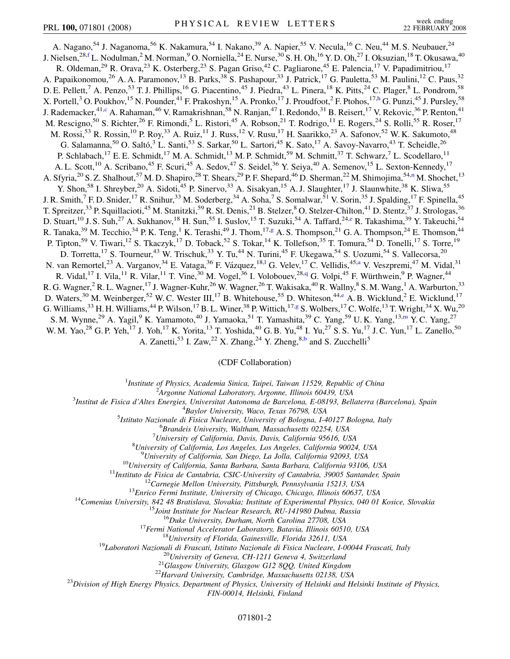<span id="page-1-6"></span><span id="page-1-4"></span><span id="page-1-2"></span>A. Nagano,<sup>54</sup> J. Naganoma,<sup>56</sup> K. Nakamura,<sup>54</sup> I. Nakano,<sup>39</sup> A. Napier,<sup>55</sup> V. Necula,<sup>16</sup> C. Neu,<sup>44</sup> M. S. Neubauer,<sup>24</sup> J. Nielsen, $^{28,f}$  $^{28,f}$  $^{28,f}$  L. Nodulman, $^2$  M. Norman, $^9$  O. Norniella, $^{24}$  E. Nurse, $^{30}$  S. H. Oh, $^{16}$  Y. D. Oh, $^{27}$  I. Oksuzian, $^{18}$  T. Okusawa, $^{40}$ R. Oldeman,<sup>29</sup> R. Orava,<sup>23</sup> K. Osterberg,<sup>23</sup> S. Pagan Griso,<sup>42</sup> C. Pagliarone,<sup>45</sup> E. Palencia,<sup>17</sup> V. Papadimitriou,<sup>17</sup> A. Papaikonomou,<sup>26</sup> A. A. Paramonov,<sup>13</sup> B. Parks,<sup>38</sup> S. Pashapour,<sup>33</sup> J. Patrick,<sup>17</sup> G. Pauletta,<sup>53</sup> M. Paulini,<sup>12</sup> C. Paus,<sup>32</sup> D. E. Pellett,<sup>7</sup> A. Penzo,<sup>53</sup> T. J. Phillips,<sup>16</sup> G. Piacentino,<sup>45</sup> J. Piedra,<sup>43</sup> L. Pinera,<sup>18</sup> K. Pitts,<sup>24</sup> C. Plager,<sup>8</sup> L. Pondrom,<sup>58</sup> X. Portell,<sup>3</sup> O. Poukhov,<sup>15</sup> N. Pounder,<sup>41</sup> F. Prakoshyn,<sup>15</sup> A. Pronko,<sup>17</sup> J. Proudfoot,<sup>2</sup> F. Ptohos,<sup>17[,h](#page-6-12)</sup> G. Punzi,<sup>45</sup> J. Pursley,<sup>58</sup> J. Rademacker,<sup>41[,c](#page-6-7)</sup> A. Rahaman,<sup>46</sup> V. Ramakrishnan,<sup>58</sup> N. Ranjan,<sup>47</sup> I. Redondo,<sup>31</sup> B. Reisert,<sup>17</sup> V. Rekovic,<sup>36</sup> P. Renton,<sup>41</sup> M. Rescigno,<sup>50</sup> S. Richter,<sup>26</sup> F. Rimondi,<sup>5</sup> L. Ristori,<sup>45</sup> A. Robson,<sup>21</sup> T. Rodrigo,<sup>11</sup> E. Rogers,<sup>24</sup> S. Rolli,<sup>55</sup> R. Roser,<sup>17</sup> M. Rossi,<sup>53</sup> R. Rossin,<sup>10</sup> P. Roy,<sup>33</sup> A. Ruiz,<sup>11</sup> J. Russ,<sup>12</sup> V. Rusu,<sup>17</sup> H. Saarikko,<sup>23</sup> A. Safonov,<sup>52</sup> W. K. Sakumoto,<sup>48</sup> G. Salamanna,<sup>50</sup> O. Saltó,<sup>3</sup> L. Santi,<sup>53</sup> S. Sarkar,<sup>50</sup> L. Sartori,<sup>45</sup> K. Sato,<sup>17</sup> A. Savoy-Navarro,<sup>43</sup> T. Scheidle,<sup>26</sup> P. Schlabach,<sup>17</sup> E. E. Schmidt,<sup>17</sup> M. A. Schmidt,<sup>13</sup> M. P. Schmidt,<sup>59</sup> M. Schmitt,<sup>37</sup> T. Schwarz,<sup>7</sup> L. Scodellaro,<sup>11</sup> A. L. Scott,<sup>10</sup> A. Scribano,<sup>45</sup> F. Scuri,<sup>45</sup> A. Sedov,<sup>47</sup> S. Seidel,<sup>36</sup> Y. Seiya,<sup>40</sup> A. Semenov,<sup>15</sup> L. Sexton-Kennedy,<sup>17</sup> A. Sfyria,<sup>20</sup> S. Z. Shalhout,<sup>57</sup> M. D. Shapiro,<sup>28</sup> T. Shears,<sup>29</sup> P. F. Shepard,<sup>46</sup> D. Sherman,<sup>22</sup> M. Shimojima,<sup>54[,n](#page-6-13)</sup> M. Shochet,<sup>13</sup> Y. Shon,<sup>58</sup> I. Shreyber,<sup>20</sup> A. Sidoti,<sup>45</sup> P. Sinervo,<sup>33</sup> A. Sisakyan,<sup>15</sup> A. J. Slaughter,<sup>17</sup> J. Slaunwhite,<sup>38</sup> K. Sliwa,<sup>55</sup> J. R. Smith,<sup>7</sup> F. D. Snider,<sup>17</sup> R. Snihur,<sup>33</sup> M. Soderberg,<sup>34</sup> A. Soha,<sup>7</sup> S. Somalwar,<sup>51</sup> V. Sorin,<sup>35</sup> J. Spalding,<sup>17</sup> F. Spinella,<sup>45</sup> T. Spreitzer,<sup>33</sup> P. Squillacioti,<sup>45</sup> M. Stanitzki,<sup>59</sup> R. St. Denis,<sup>21</sup> B. Stelzer,<sup>8</sup> O. Stelzer-Chilton,<sup>41</sup> D. Stentz,<sup>37</sup> J. Strologas,<sup>36</sup> D. Stuart,<sup>10</sup> J. S. Suh,<sup>27</sup> A. Sukhanov,<sup>18</sup> H. Sun,<sup>55</sup> I. Suslov,<sup>15</sup> T. Suzuki,<sup>54</sup> A. Taffard,<sup>24,[e](#page-6-14)</sup> R. Takashima,<sup>39</sup> Y. Takeuchi,<sup>54</sup> R. Tanaka,<sup>39</sup> M. Tecchio,<sup>34</sup> P. K. Ten[g](#page-6-15),<sup>1</sup> K. Terashi,<sup>49</sup> J. Thom,<sup>17,g</sup> A. S. Thompson,<sup>21</sup> G. A. Thompson,<sup>24</sup> E. Thomson,<sup>44</sup> P. Tipton,<sup>59</sup> V. Tiwari,<sup>12</sup> S. Tkaczyk,<sup>17</sup> D. Toback,<sup>52</sup> S. Tokar,<sup>14</sup> K. Tollefson,<sup>35</sup> T. Tomura,<sup>54</sup> D. Tonelli,<sup>17</sup> S. Torre,<sup>19</sup> D. Torretta,<sup>17</sup> S. Tourneur,<sup>43</sup> W. Trischuk,<sup>33</sup> Y. Tu,<sup>44</sup> N. Turini,<sup>45</sup> F. Ukegawa,<sup>54</sup> S. Uozumi,<sup>54</sup> S. Vallecorsa,<sup>20</sup> N. van Remorte[l](#page-6-1),<sup>23</sup> A. V[a](#page-6-6)rganov,<sup>34</sup> E. Vataga,<sup>36</sup> F. Vázquez,<sup>18,1</sup> G. Velev,<sup>17</sup> C. Vellidis,<sup>45,a</sup> V. Veszpremi,<sup>47</sup> M. Vidal,<sup>31</sup> R. Vidal,<sup>17</sup> I. Vila,<sup>11</sup> R. Vilar,<sup>11</sup> T. Vine,<sup>30</sup> M. Vogel,<sup>36</sup> I. Volobouev,<sup>28,[q](#page-6-3)</sup> G. Volpi,<sup>45</sup> F. Würthwein,<sup>9</sup> P. Wagner,<sup>44</sup> R. G. Wagner,  ${}^{2}$  R. L. Wagner,  ${}^{17}$  J. Wagner-Kuhr,  ${}^{26}$  W. Wagner,  ${}^{26}$  T. Wakisaka,  ${}^{40}$  R. Wallny,  ${}^{8}$  S. M. Wang,  ${}^{1}$  A. Warburton,  ${}^{33}$ D. Waters,<sup>30</sup> M. Weinberger,<sup>52</sup> W. C. Wester III,<sup>17</sup> B. Whitehouse,<sup>55</sup> D. Whiteson,<sup>44[,e](#page-6-14)</sup> A. B. Wicklund,<sup>2</sup> E. Wicklund,<sup>17</sup> G. Williams,  $33$  H. H. Williams,  $44$  P. Wilson,  $17$  B. L. Winer,  $38$  P. Wittich,  $17.9$  S. Wolbers,  $17$  C. Wolfe,  $13$  T. Wri[g](#page-6-15)ht,  $34$  X. Wu,  $20$ S. M. Wynne,<sup>29</sup> A. Yagil,<sup>9</sup> K. Ya[m](#page-6-16)amoto,<sup>40</sup> J. Yamaoka,<sup>51</sup> T. Yamashita,<sup>39</sup> C. Yang,<sup>59</sup> U.K. Yang,<sup>13,m</sup> Y.C. Yang,<sup>27</sup> W. M. Yao,<sup>28</sup> G. P. Yeh,<sup>17</sup> J. Yoh,<sup>17</sup> K. Yorita,<sup>13</sup> T. Yoshida,<sup>40</sup> G. B. Yu,<sup>48</sup> I. Yu,<sup>27</sup> S. S. Yu,<sup>17</sup> J. C. Yun,<sup>17</sup> L. Zanello,<sup>50</sup>

<span id="page-1-5"></span><span id="page-1-3"></span><span id="page-1-1"></span>A. Zanetti,<sup>53</sup> I. Zaw,<sup>22</sup> X. Zhang,<sup>24</sup> Y. Zheng,<sup>8,[b](#page-6-17)</sup> and S. Zucchelli<sup>5</sup>

## (CDF Collaboration)

<sup>1</sup>*Institute of Physics, Academia Sinica, Taipei, Taiwan 11529, Republic of China*<br><sup>2</sup><sup>4</sup> *League Mational Laboratory, Argonna Illinois 60430, USA* 

*Argonne National Laboratory, Argonne, Illinois 60439, USA* <sup>3</sup>

<span id="page-1-0"></span>*Institut de Fisica d'Altes Energies, Universitat Autonoma de Barcelona, E-08193, Bellaterra (Barcelona), Spain* <sup>4</sup>

<sup>4</sup>Baylor University, Waco, Texas 76798, USA<br><sup>5</sup> Istitute Nazionale di Fisica Nucleare, University of Bologna, La

*Istituto Nazionale di Fisica Nucleare, University of Bologna, I-40127 Bologna, Italy* <sup>6</sup>

*Brandeis University, Waltham, Massachusetts 02254, USA* <sup>7</sup>

*University of California, Davis, Davis, California 95616, USA* <sup>8</sup>

*University of California, Los Angeles, Los Angeles, California 90024, USA* <sup>9</sup>

<sup>9</sup>University of California, San Diego, La Jolla, California 92093, USA<br><sup>10</sup>University of California, Santa Barbara, Santa Barbara, California 93106, USA<br><sup>11</sup>Instituto de Fisica de Cantabria, CSIC-University of Cantabria,

*FIN-00014, Helsinki, Finland*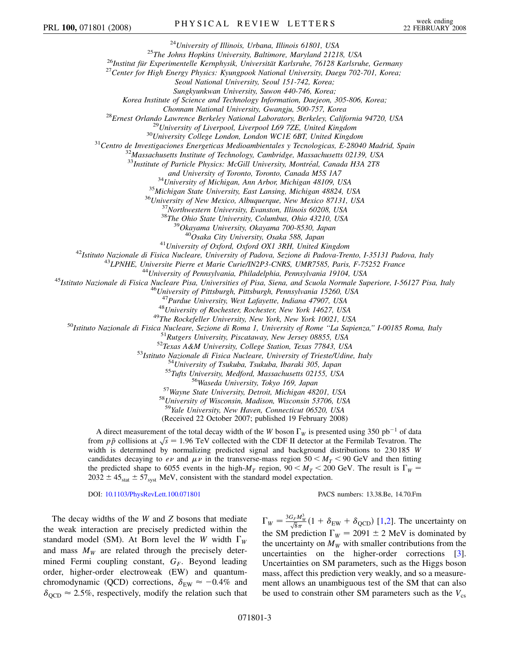<sup>24</sup>University of Illinois, Urbana, Illinois 61801, USA<br><sup>25</sup>The Johns Hopkins University, Baltimore, Maryland 21218, USA<br><sup>26</sup>Institut für Experimentelle Kernphysik, Universität Karlsruhe, 76128 Karlsruhe, Germany<br><sup>27</sup>Cent

*Seoul National University, Seoul 151-742, Korea;*

*Sungkyunkwan University, Suwon 440-746, Korea;*

*Korea Institute of Science and Technology Information, Daejeon, 305-806, Korea;*

Chonnam National University, Gwangju, 500-757, Korea<br><sup>28</sup>Ernest Orlando Lawrence Berkeley National Laboratory, Berkeley, California 94720, USA<br><sup>29</sup>University of Liverpool, Liverpool L69 7ZE, United Kingdom<br><sup>30</sup>University

<sup>33</sup>Institute of Particle Physics: McGill University, Montréal, Canada H3A 2T8

and University of Toronto, Toronto, Canada M5S 1A7<br><sup>34</sup>University of Michigan, Ann Arbor, Michigan 48109, USA<br><sup>35</sup>Michigan State University, East Lansing, Michigan 48824, USA<br><sup>36</sup>University of New Mexico, Albuquerque, New

<sup>41</sup>University of Oxford, Oxford OX1 3RH, United Kingdom<br><sup>42</sup>Istituto Nazionale di Fisica Nucleare, University of Padova, Sezione di Padova-Trento, I-35131 Padova, Italy<br><sup>43</sup>LPNHE, Universite Pierre et Marie Curie/IN2P3-C

<sup>47</sup>Purdue University, West Lafayette, Indiana 47907, USA<br><sup>48</sup>University of Rochester, Rochester, New York 14627, USA<br><sup>48</sup>University of Rochester, Rochester, New York 14627, USA<br><sup>50</sup>Ustituto Nazionale di Fisica Nucleare,

<sup>59</sup>*Yale University, New Haven, Connecticut 06520, USA*

(Received 22 October 2007; published 19 February 2008)

A direct measurement of the total decay width of the *W* boson  $\Gamma_W$  is presented using 350 pb<sup>-1</sup> of data A direct measurement of the total decay width of the *w* boson I  $\psi$  is presented using 550 pot of data from  $p\bar{p}$  collisions at  $\sqrt{s} = 1.96$  TeV collected with the CDF II detector at the Fermilab Tevatron. The width is determined by normalizing predicted signal and background distributions to 230 185 *W* candidates decaying to  $e\nu$  and  $\mu\nu$  in the transverse-mass region 50  $\lt M_T \lt 90$  GeV and then fitting the predicted shape to 6055 events in the high- $M_T$  region,  $90 \le M_T \le 200$  GeV. The result is  $\Gamma_W =$  $2032 \pm 45$ <sub>stat</sub>  $\pm 57$ <sub>syst</sub> MeV, consistent with the standard model expectation.

DOI: [10.1103/PhysRevLett.100.071801](http://dx.doi.org/10.1103/PhysRevLett.100.071801) PACS numbers: 13.38.Be, 14.70.Fm

The decay widths of the *W* and *Z* bosons that mediate the weak interaction are precisely predicted within the standard model (SM). At Born level the *W* width  $\Gamma_W$ and mass  $M_W$  are related through the precisely determined Fermi coupling constant,  $G_F$ . Beyond leading order, higher-order electroweak (EW) and quantumchromodynamic (QCD) corrections,  $\delta_{\text{EW}} \approx -0.4\%$  and  $\delta_{\rm OCD} \approx 2.5\%$ , respectively, modify the relation such that

 $\Gamma_W = \frac{3G_F M_W^3}{\sqrt{8}\pi} (1 + \delta_{EW} + \delta_{QCD})$  [\[1](#page-6-18)[,2](#page-6-19)]. The uncertainty on the SM prediction  $\Gamma_W = 2091 \pm 2$  MeV is dominated by the uncertainty on  $M_W$  with smaller contributions from the uncertainties on the higher-order corrections [[3\]](#page-6-20). Uncertainties on SM parameters, such as the Higgs boson mass, affect this prediction very weakly, and so a measurement allows an unambiguous test of the SM that can also be used to constrain other SM parameters such as the  $V_{\rm cs}$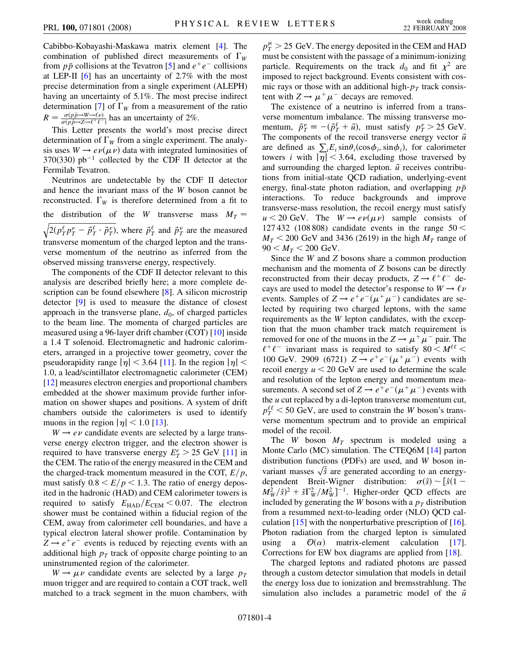Cabibbo-Kobayashi-Maskawa matrix element [[4\]](#page-6-21). The combination of published direct measurements of  $\Gamma_W$ from  $p\bar{p}$  collisions at the Tevatron [[5](#page-6-22)] and  $e^+e^-$  collisions at LEP-II [[6](#page-6-23)] has an uncertainty of 2.7% with the most precise determination from a single experiment (ALEPH) having an uncertainty of 5.1%. The most precise indirect determination [\[7](#page-6-24)] of  $\Gamma_W$  from a measurement of the ratio  $R = \frac{\sigma(p\bar{p}\rightarrow W \rightarrow \ell \nu)}{\sigma(p\bar{p}\rightarrow Z \rightarrow \ell^+ \ell^-)}$  $\frac{\sigma(p p \rightarrow W \rightarrow \ell \nu)}{\sigma(p \bar{p} \rightarrow Z \rightarrow \ell^+ \ell^-)}$  has an uncertainty of 2%.

This Letter presents the world's most precise direct determination of  $\Gamma_W$  from a single experiment. The analysis uses  $W \rightarrow e \nu(\mu \nu)$  data with integrated luminosities of  $370(330)$  pb<sup>-1</sup> collected by the CDF II detector at the Fermilab Tevatron.

Neutrinos are undetectable by the CDF II detector and hence the invariant mass of the *W* boson cannot be reconstructed.  $\Gamma_W$  is therefore determined from a fit to the distribution of the *W* transverse mass  $M_T =$  $2(p_T^{\ell} p_T^{\nu} - \vec{p}_T^{\ell} \cdot \vec{p}_T^{\nu})$  $\overline{a}$ , where  $\vec{p}_{T}^{\ell}$  and  $\vec{p}_{T}^{\nu}$  are the measured transverse momentum of the charged lepton and the transverse momentum of the neutrino as inferred from the observed missing transverse energy, respectively.

The components of the CDF II detector relevant to this analysis are described briefly here; a more complete description can be found elsewhere [[8](#page-6-25)]. A silicon microstrip detector [\[9\]](#page-6-26) is used to measure the distance of closest approach in the transverse plane,  $d_0$ , of charged particles to the beam line. The momenta of charged particles are measured using a 96-layer drift chamber (COT) [[10](#page-6-27)] inside a 1.4 T solenoid. Electromagnetic and hadronic calorimeters, arranged in a projective tower geometry, cover the pseudorapidity range  $|\eta|$  < 3.64 [\[11\]](#page-6-28). In the region  $|\eta|$  < 1*:*0, a lead/scintillator electromagnetic calorimeter (CEM) [\[12\]](#page-6-29) measures electron energies and proportional chambers embedded at the shower maximum provide further information on shower shapes and positions. A system of drift chambers outside the calorimeters is used to identify muons in the region  $|\eta|$  < 1.0 [[13](#page-6-30)].

 $W \rightarrow e \nu$  candidate events are selected by a large transverse energy electron trigger, and the electron shower is required to have transverse energy  $E_T^e > 25$  GeV [\[11\]](#page-6-28) in the CEM. The ratio of the energy measured in the CEM and the charged-track momentum measured in the COT,  $E/p$ , must satisfy  $0.8 \leq E/p \leq 1.3$ . The ratio of energy deposited in the hadronic (HAD) and CEM calorimeter towers is required to satisfy  $E_{\text{HAD}}/E_{\text{CEM}} < 0.07$ . The electron shower must be contained within a fiducial region of the CEM, away from calorimeter cell boundaries, and have a typical electron lateral shower profile. Contamination by  $Z \rightarrow e^+e^-$  events is reduced by rejecting events with an additional high  $p_T$  track of opposite charge pointing to an uninstrumented region of the calorimeter.

 $W \rightarrow \mu \nu$  candidate events are selected by a large  $p_T$ muon trigger and are required to contain a COT track, well matched to a track segment in the muon chambers, with

 $p_T^{\mu} > 25$  GeV. The energy deposited in the CEM and HAD must be consistent with the passage of a minimum-ionizing particle. Requirements on the track  $d_0$  and fit  $\chi^2$  are imposed to reject background. Events consistent with cosmic rays or those with an additional high- $p<sub>T</sub>$  track consistent with  $Z \rightarrow \mu^+ \mu^-$  decays are removed.

The existence of a neutrino is inferred from a transverse momentum imbalance. The missing transverse momentum,  $\vec{p}_T^{\nu} \equiv -(\vec{p}_T^{\ell} + \vec{u})$ , must satisfy  $p_T^{\nu} > 25$  GeV. The components of the recoil transverse energy vector  $\vec{u}$ are defined as  $\sum_i E_i \sin\theta_i(\cos\phi_i, \sin\phi_i)$ , for calorimeter towers *i* with  $|\eta|$  < 3.64, excluding those traversed by and surrounding the charged lepton.  $\vec{u}$  receives contributions from initial-state QCD radiation, underlying-event energy, final-state photon radiation, and overlapping  $p\bar{p}$ interactions. To reduce backgrounds and improve transverse-mass resolution, the recoil energy must satisfy  $u < 20$  GeV. The  $W \rightarrow e \nu(\mu \nu)$  sample consists of 127 432 (108 808) candidate events in the range 50 *<*  $M_T$  < 200 GeV and 3436 (2619) in the high  $M_T$  range of  $90 < M_T < 200$  GeV.

Since the *W* and *Z* bosons share a common production mechanism and the momenta of *Z* bosons can be directly reconstructed from their decay products,  $Z \rightarrow \ell^+ \ell^-$  decays are used to model the detector's response to  $W \rightarrow \ell \nu$ events. Samples of  $Z \rightarrow e^+e^-(\mu^+\mu^-)$  candidates are selected by requiring two charged leptons, with the same requirements as the *W* lepton candidates, with the exception that the muon chamber track match requirement is removed for one of the muons in the  $Z \rightarrow \mu^+ \mu^-$  pair. The  $\ell^+ \ell^-$  invariant mass is required to satisfy 80  $\lt M^{\ell\ell}$ 100 GeV. 2909 (6721)  $Z \to e^+e^-(\mu^+\mu^-)$  events with recoil energy  $u < 20$  GeV are used to determine the scale and resolution of the lepton energy and momentum measurements. A second set of  $Z \rightarrow e^+e^-(\mu^+\mu^-)$  events with the *u* cut replaced by a di-lepton transverse momentum cut,  $p_T^{\ell\ell}$  < 50 GeV, are used to constrain the *W* boson's transverse momentum spectrum and to provide an empirical model of the recoil.

The *W* boson  $M_T$  spectrum is modeled using a Monte Carlo (MC) simulation. The CTEQ6M [\[14\]](#page-6-31) parton distribution functions (PDFs) are used, and *W* boson in- $\alpha$  are used, and *w* boson invariant masses  $\sqrt{\hat{s}}$  are generated according to an energydependent Breit-Wigner distribution:  $\sigma(\hat{s}) \sim [\hat{s}(1 - \hat{s})]$  $M_W^2/\hat{s})^2 + \hat{s} \Gamma_W^2 / M_W^2$ <sup>-1</sup>. Higher-order QCD effects are included by generating the *W* bosons with a  $p<sub>T</sub>$  distribution from a resummed next-to-leading order (NLO) QCD calculation  $[15]$  $[15]$  $[15]$  with the nonperturbative prescription of  $[16]$  $[16]$ . Photon radiation from the charged lepton is simulated using a  $\mathcal{O}(\alpha)$  matrix-element calculation [[17\]](#page-6-34). Corrections for EW box diagrams are applied from [\[18\]](#page-6-35).

The charged leptons and radiated photons are passed through a custom detector simulation that models in detail the energy loss due to ionization and bremsstrahlung. The simulation also includes a parametric model of the  $\vec{u}$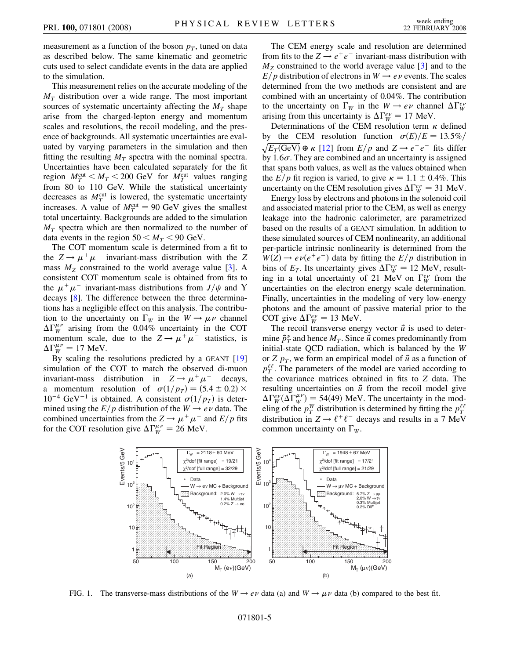measurement as a function of the boson  $p<sub>T</sub>$ , tuned on data as described below. The same kinematic and geometric cuts used to select candidate events in the data are applied to the simulation.

This measurement relies on the accurate modeling of the  $M<sub>T</sub>$  distribution over a wide range. The most important sources of systematic uncertainty affecting the  $M_T$  shape arise from the charged-lepton energy and momentum scales and resolutions, the recoil modeling, and the presence of backgrounds. All systematic uncertainties are evaluated by varying parameters in the simulation and then fitting the resulting  $M_T$  spectra with the nominal spectra. Uncertainties have been calculated separately for the fit region  $M_T^{\text{cut}} < M_T < 200$  GeV for  $M_T^{\text{cut}}$  values ranging from 80 to 110 GeV. While the statistical uncertainty decreases as  $M_T^{\text{cut}}$  is lowered, the systematic uncertainty increases. A value of  $M_T^{\text{cut}} = 90 \text{ GeV}$  gives the smallest total uncertainty. Backgrounds are added to the simulation  $M_T$  spectra which are then normalized to the number of data events in the region  $50 < M_T < 90$  GeV.

The COT momentum scale is determined from a fit to the  $Z \rightarrow \mu^+ \mu^-$  invariant-mass distribution with the Z mass  $M_Z$  constrained to the world average value [[3](#page-6-20)]. A consistent COT momentum scale is obtained from fits to the  $\mu^+ \mu^-$  invariant-mass distributions from  $J/\psi$  and Y decays [\[8](#page-6-25)]. The difference between the three determinations has a negligible effect on this analysis. The contribution to the uncertainty on  $\Gamma_W$  in the  $W \to \mu \nu$  channel  $\Delta\Gamma_W^{\mu\nu}$  arising from the 0.04% uncertainty in the COT momentum scale, due to the  $Z \rightarrow \mu^+ \mu^-$  statistics, is  $\Delta \Gamma_W^{\mu\nu} = 17$  MeV.

By scaling the resolutions predicted by a GEANT [\[19\]](#page-6-36) simulation of the COT to match the observed di-muon invariant-mass distribution in  $Z \rightarrow \mu^+ \mu^-$  decays, a momentum resolution of  $\sigma(1/p_T) = (5.4 \pm 0.2) \times$  $10^{-4}$  GeV<sup>-1</sup> is obtained. A consistent  $\sigma(1/p_T)$  is determined using the  $E/p$  distribution of the  $W \rightarrow e \nu$  data. The combined uncertainties from the  $Z \rightarrow \mu^+ \mu^-$  and  $E/p$  fits for the COT resolution give  $\Delta \Gamma_W^{\mu\nu} = 26$  MeV.

The CEM energy scale and resolution are determined from fits to the  $Z \rightarrow e^+e^-$  invariant-mass distribution with  $M<sub>Z</sub>$  constrained to the world average value [[3](#page-6-20)] and to the  $E/p$  distribution of electrons in  $W \rightarrow e \nu$  events. The scales determined from the two methods are consistent and are combined with an uncertainty of 0.04%. The contribution to the uncertainty on  $\Gamma_W$  in the  $W \to e\nu$  channel  $\Delta \Gamma_W^{e\nu}$ arising from this uncertainty is  $\Delta \Gamma_W^{ev} = 17$  MeV.

Determinations of the CEM resolution term  $\kappa$  defined by the CEM resolution function  $\sigma(E)/E = 13.5\%$  $\sqrt{E_T(\text{GeV})} \oplus \kappa$  [\[12\]](#page-6-29) from  $E/p$  and  $Z \rightarrow e^+e^-$  fits differ by  $1.6\sigma$ . They are combined and an uncertainty is assigned that spans both values, as well as the values obtained when the *E/p* fit region is varied, to give  $\kappa = 1.1 \pm 0.4\%$ . This uncertainty on the CEM resolution gives  $\Delta \Gamma_W^{\text{ev}} = 31 \text{ MeV}$ .

Energy loss by electrons and photons in the solenoid coil and associated material prior to the CEM, as well as energy leakage into the hadronic calorimeter, are parametrized based on the results of a GEANT simulation. In addition to these simulated sources of CEM nonlinearity, an additional per-particle intrinsic nonlinearity is determined from the  $W(Z) \rightarrow e \nu(e^+e^-)$  data by fitting the  $E/p$  distribution in bins of  $E_T$ . Its uncertainty gives  $\Delta \Gamma_W^{ev} = 12$  MeV, resulting in a total uncertainty of 21 MeV on  $\int_W^{ev}$  from the uncertainties on the electron energy scale determination. Finally, uncertainties in the modeling of very low-energy photons and the amount of passive material prior to the COT give  $\Delta \Gamma_W^{ev} = 13$  MeV.

The recoil transverse energy vector  $\vec{u}$  is used to determine  $\vec{p}^{\nu}_{T}$  and hence  $M_{T}$ . Since  $\vec{u}$  comes predominantly from initial-state QCD radiation, which is balanced by the *W* or *Z*  $p_T$ , we form an empirical model of  $\vec{u}$  as a function of  $p_T^{\ell\ell}$ . The parameters of the model are varied according to the covariance matrices obtained in fits to *Z* data. The resulting uncertainties on  $\vec{u}$  from the recoil model give  $\Delta\Gamma_W^{ev}(\Delta\Gamma_W^{\mu\nu}) = 54(49)$  MeV. The uncertainty in the modeling of the  $p_T^W$  distribution is determined by fitting the  $p_T^{\ell\ell}$ distribution in  $Z \rightarrow \ell^+ \ell^-$  decays and results in a 7 MeV common uncertainty on  $\Gamma_W$ .

<span id="page-4-0"></span>

FIG. 1. The transverse-mass distributions of the  $W \to e\nu$  data (a) and  $W \to \mu\nu$  data (b) compared to the best fit.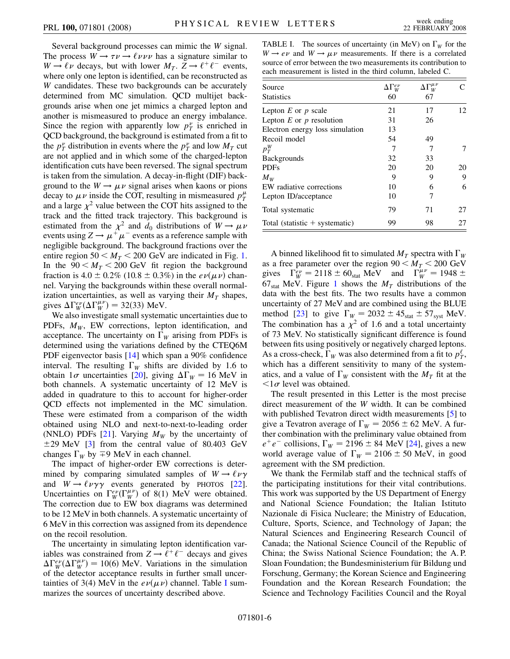Several background processes can mimic the *W* signal. The process  $W \rightarrow \tau \nu \rightarrow \ell \nu \nu \nu$  has a signature similar to  $W \rightarrow \ell \nu$  decays, but with lower  $M_T$ .  $Z \rightarrow \ell^+ \ell^-$  events, where only one lepton is identified, can be reconstructed as *W* candidates. These two backgrounds can be accurately determined from MC simulation. QCD multijet backgrounds arise when one jet mimics a charged lepton and another is mismeasured to produce an energy imbalance. Since the region with apparently low  $p_T^{\nu}$  is enriched in QCD background, the background is estimated from a fit to the  $p_T^{\nu}$  distribution in events where the  $p_T^{\nu}$  and low  $M_T$  cut are not applied and in which some of the charged-lepton identification cuts have been reversed. The signal spectrum is taken from the simulation. A decay-in-flight (DIF) background to the  $W \to \mu \nu$  signal arises when kaons or pions decay to  $\mu \nu$  inside the COT, resulting in mismeasured  $p_T^{\mu}$ and a large  $\chi^2$  value between the COT hits assigned to the track and the fitted track trajectory. This background is estimated from the  $\chi^2$  and  $d_0$  distributions of  $W \to \mu \nu$ events using  $Z \rightarrow \mu^+ \mu^-$  events as a reference sample with negligible background. The background fractions over the entire region  $50 < M_T < 200$  GeV are indicated in Fig. [1](#page-4-0). In the  $90 < M_T < 200$  GeV fit region the background fraction is  $4.0 \pm 0.2\%$  (10.8  $\pm$  0.3%) in the  $e\nu(\mu\nu)$  channel. Varying the backgrounds within these overall normalization uncertainties, as well as varying their  $M<sub>T</sub>$  shapes, gives  $\Delta \Gamma_W^{ev}(\Delta \Gamma_W^{\mu\nu}) = 32(33)$  MeV.

We also investigate small systematic uncertainties due to PDFs,  $M_W$ , EW corrections, lepton identification, and acceptance. The uncertainty on  $\Gamma_W$  arising from PDFs is determined using the variations defined by the CTEQ6M PDF eigenvector basis [\[14\]](#page-6-31) which span a 90% confidence interval. The resulting  $\Gamma_W$  shifts are divided by 1.6 to obtain  $1\sigma$  uncertainties [\[20\]](#page-6-37), giving  $\Delta\Gamma_W = 16$  MeV in both channels. A systematic uncertainty of 12 MeV is added in quadrature to this to account for higher-order QCD effects not implemented in the MC simulation. These were estimated from a comparison of the width obtained using NLO and next-to-next-to-leading order (NNLO) PDFs  $[21]$  $[21]$  $[21]$ . Varying  $M_W$  by the uncertainty of  $\pm$ 29 MeV [[3\]](#page-6-20) from the central value of 80.403 GeV changes  $\Gamma_W$  by  $\mp 9$  MeV in each channel.

The impact of higher-order EW corrections is determined by comparing simulated samples of  $W \rightarrow \ell \nu \gamma$ and  $W \rightarrow \ell \nu \gamma \gamma$  events generated by PHOTOS [\[22\]](#page-6-39). Uncertainties on  $\Gamma_W^{ev}(\Gamma_W^{\mu\nu})$  of 8(1) MeV were obtained. The correction due to EW box diagrams was determined to be 12 MeV in both channels. A systematic uncertainty of 6 MeV in this correction was assigned from its dependence on the recoil resolution.

The uncertainty in simulating lepton identification variables was constrained from  $Z \rightarrow \ell^+ \ell^-$  decays and gives  $\Delta \Gamma_W^{ev}(\Delta \Gamma_W^{\mu\nu}) = 10(6)$  MeV. Variations in the simulation of the detector acceptance results in further small uncertainties of 3(4) MeV in the  $e\nu(\mu\nu)$  channel. Table [I](#page-5-0) summarizes the sources of uncertainty described above.

<span id="page-5-0"></span>TABLE I. The sources of uncertainty (in MeV) on  $\Gamma_W$  for the  $W \rightarrow e \nu$  and  $W \rightarrow \mu \nu$  measurements. If there is a correlated source of error between the two measurements its contribution to each measurement is listed in the third column, labeled C.

| Source                           |    |    |    |
|----------------------------------|----|----|----|
| <b>Statistics</b>                | 60 | 67 |    |
| Lepton $E$ or $p$ scale          | 21 | 17 | 12 |
| Lepton $E$ or $p$ resolution     | 31 | 26 |    |
| Electron energy loss simulation  | 13 |    |    |
| Recoil model                     | 54 | 49 |    |
| $p_T^W$                          | 7  | 7  |    |
| <b>Backgrounds</b>               | 32 | 33 |    |
| <b>PDFs</b>                      | 20 | 20 | 20 |
| $M_W$                            | 9  | 9  | 9  |
| EW radiative corrections         | 10 | 6  | 6  |
| Lepton ID/acceptance             | 10 |    |    |
| Total systematic                 | 79 | 71 | 27 |
| Total (statistic $+$ systematic) | 99 | 98 | 27 |

A binned likelihood fit to simulated  $M_T$  spectra with  $\Gamma_W$ as a free parameter over the region  $90 < M_T < 200$  GeV gives  $\Gamma_W^{ev} = 2118 \pm 60_{\text{stat}}$  MeV and  $\Gamma_W^{\mu\nu} = 1948 \pm 100$  $67<sub>stat</sub>$  MeV. Figure [1](#page-4-0) shows the  $M<sub>T</sub>$  distributions of the data with the best fits. The two results have a common uncertainty of 27 MeV and are combined using the BLUE method [[23](#page-6-40)] to give  $\Gamma_W = 2032 \pm 45_{stat} \pm 57_{syst}$  MeV. The combination has a  $\chi^2$  of 1.6 and a total uncertainty of 73 MeV. No statistically significant difference is found between fits using positively or negatively charged leptons. As a cross-check,  $\Gamma_W$  was also determined from a fit to  $p_T^{\ell}$ , which has a different sensitivity to many of the systematics, and a value of  $\Gamma_W$  consistent with the  $M_T$  fit at the  $<$ 1 $\sigma$  level was obtained.

The result presented in this Letter is the most precise direct measurement of the *W* width. It can be combined with published Tevatron direct width measurements [\[5](#page-6-22)] to give a Tevatron average of  $\Gamma_W = 2056 \pm 62$  MeV. A further combination with the preliminary value obtained from  $e^+e^-$  collisions,  $\Gamma_W = 2196 \pm 84$  MeV [\[24\]](#page-6-41), gives a new world average value of  $\Gamma_W = 2106 \pm 50$  MeV, in good agreement with the SM prediction.

We thank the Fermilab staff and the technical staffs of the participating institutions for their vital contributions. This work was supported by the US Department of Energy and National Science Foundation; the Italian Istituto Nazionale di Fisica Nucleare; the Ministry of Education, Culture, Sports, Science, and Technology of Japan; the Natural Sciences and Engineering Research Council of Canada; the National Science Council of the Republic of China; the Swiss National Science Foundation; the A. P. Sloan Foundation; the Bundesministerium für Bildung und Forschung, Germany; the Korean Science and Engineering Foundation and the Korean Research Foundation; the Science and Technology Facilities Council and the Royal